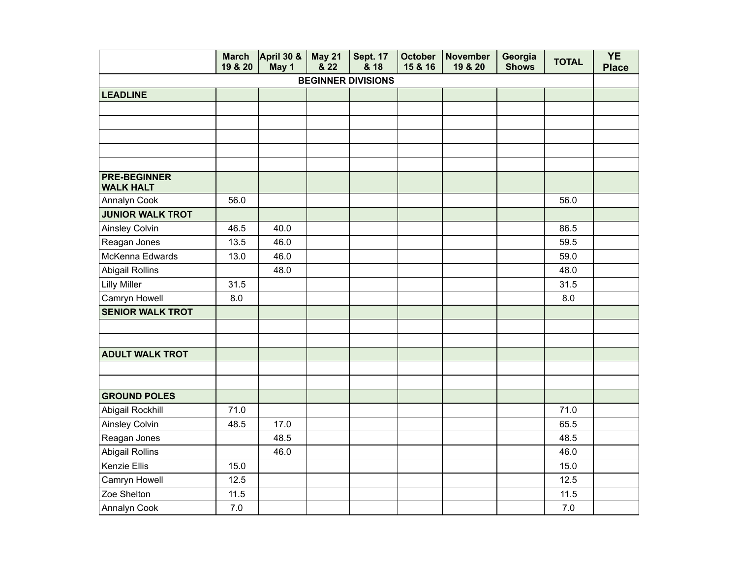|                                         | <b>March</b><br>19 & 20 | <b>April 30 &amp;</b><br>May 1 | <b>May 21</b><br>8.22 | <b>Sept. 17</b><br>& 18 | <b>October</b><br>15 & 16 | <b>November</b><br>19 & 20 | Georgia<br><b>Shows</b> | <b>TOTAL</b> | <b>YE</b><br><b>Place</b> |  |  |  |  |
|-----------------------------------------|-------------------------|--------------------------------|-----------------------|-------------------------|---------------------------|----------------------------|-------------------------|--------------|---------------------------|--|--|--|--|
| <b>BEGINNER DIVISIONS</b>               |                         |                                |                       |                         |                           |                            |                         |              |                           |  |  |  |  |
| <b>LEADLINE</b>                         |                         |                                |                       |                         |                           |                            |                         |              |                           |  |  |  |  |
|                                         |                         |                                |                       |                         |                           |                            |                         |              |                           |  |  |  |  |
|                                         |                         |                                |                       |                         |                           |                            |                         |              |                           |  |  |  |  |
|                                         |                         |                                |                       |                         |                           |                            |                         |              |                           |  |  |  |  |
|                                         |                         |                                |                       |                         |                           |                            |                         |              |                           |  |  |  |  |
|                                         |                         |                                |                       |                         |                           |                            |                         |              |                           |  |  |  |  |
| <b>PRE-BEGINNER</b><br><b>WALK HALT</b> |                         |                                |                       |                         |                           |                            |                         |              |                           |  |  |  |  |
| Annalyn Cook                            | 56.0                    |                                |                       |                         |                           |                            |                         | 56.0         |                           |  |  |  |  |
| <b>JUNIOR WALK TROT</b>                 |                         |                                |                       |                         |                           |                            |                         |              |                           |  |  |  |  |
| Ainsley Colvin                          | 46.5                    | 40.0                           |                       |                         |                           |                            |                         | 86.5         |                           |  |  |  |  |
| Reagan Jones                            | 13.5                    | 46.0                           |                       |                         |                           |                            |                         | 59.5         |                           |  |  |  |  |
| McKenna Edwards                         | 13.0                    | 46.0                           |                       |                         |                           |                            |                         | 59.0         |                           |  |  |  |  |
| <b>Abigail Rollins</b>                  |                         | 48.0                           |                       |                         |                           |                            |                         | 48.0         |                           |  |  |  |  |
| <b>Lilly Miller</b>                     | 31.5                    |                                |                       |                         |                           |                            |                         | 31.5         |                           |  |  |  |  |
| Camryn Howell                           | 8.0                     |                                |                       |                         |                           |                            |                         | 8.0          |                           |  |  |  |  |
| <b>SENIOR WALK TROT</b>                 |                         |                                |                       |                         |                           |                            |                         |              |                           |  |  |  |  |
|                                         |                         |                                |                       |                         |                           |                            |                         |              |                           |  |  |  |  |
|                                         |                         |                                |                       |                         |                           |                            |                         |              |                           |  |  |  |  |
| <b>ADULT WALK TROT</b>                  |                         |                                |                       |                         |                           |                            |                         |              |                           |  |  |  |  |
|                                         |                         |                                |                       |                         |                           |                            |                         |              |                           |  |  |  |  |
|                                         |                         |                                |                       |                         |                           |                            |                         |              |                           |  |  |  |  |
| <b>GROUND POLES</b>                     |                         |                                |                       |                         |                           |                            |                         |              |                           |  |  |  |  |
| Abigail Rockhill                        | 71.0                    |                                |                       |                         |                           |                            |                         | 71.0         |                           |  |  |  |  |
| Ainsley Colvin                          | 48.5                    | 17.0                           |                       |                         |                           |                            |                         | 65.5         |                           |  |  |  |  |
| Reagan Jones                            |                         | 48.5                           |                       |                         |                           |                            |                         | 48.5         |                           |  |  |  |  |
| <b>Abigail Rollins</b>                  |                         | 46.0                           |                       |                         |                           |                            |                         | 46.0         |                           |  |  |  |  |
| Kenzie Ellis                            | 15.0                    |                                |                       |                         |                           |                            |                         | 15.0         |                           |  |  |  |  |
| Camryn Howell                           | 12.5                    |                                |                       |                         |                           |                            |                         | 12.5         |                           |  |  |  |  |
| Zoe Shelton                             | 11.5                    |                                |                       |                         |                           |                            |                         | 11.5         |                           |  |  |  |  |
| Annalyn Cook                            | 7.0                     |                                |                       |                         |                           |                            |                         | 7.0          |                           |  |  |  |  |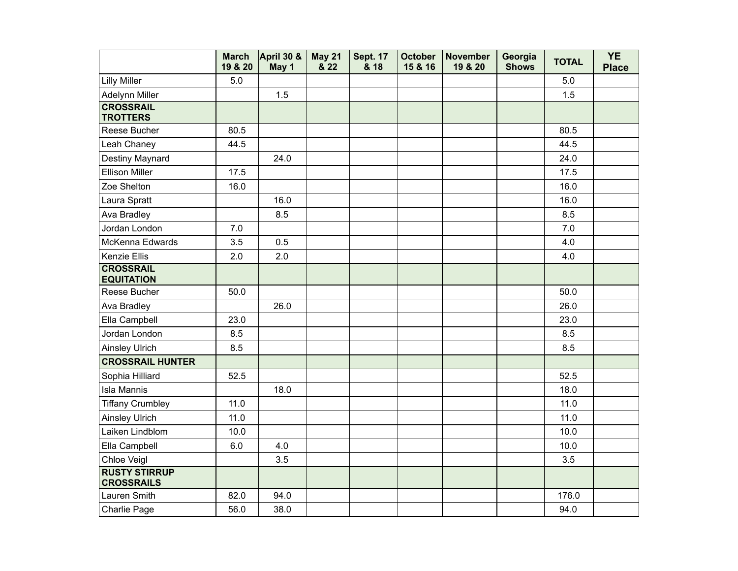|                                           | <b>March</b><br>19 & 20 | April 30 &<br>May 1 | May 21<br>& 22 | <b>Sept. 17</b><br>& 18 | <b>October</b><br>15 & 16 | <b>November</b><br>19 & 20 | Georgia<br><b>Shows</b> | <b>TOTAL</b> | <b>YE</b><br><b>Place</b> |
|-------------------------------------------|-------------------------|---------------------|----------------|-------------------------|---------------------------|----------------------------|-------------------------|--------------|---------------------------|
| <b>Lilly Miller</b>                       | 5.0                     |                     |                |                         |                           |                            |                         | 5.0          |                           |
| Adelynn Miller                            |                         | 1.5                 |                |                         |                           |                            |                         | 1.5          |                           |
| <b>CROSSRAIL</b><br><b>TROTTERS</b>       |                         |                     |                |                         |                           |                            |                         |              |                           |
| Reese Bucher                              | 80.5                    |                     |                |                         |                           |                            |                         | 80.5         |                           |
| Leah Chaney                               | 44.5                    |                     |                |                         |                           |                            |                         | 44.5         |                           |
| Destiny Maynard                           |                         | 24.0                |                |                         |                           |                            |                         | 24.0         |                           |
| <b>Ellison Miller</b>                     | 17.5                    |                     |                |                         |                           |                            |                         | 17.5         |                           |
| Zoe Shelton                               | 16.0                    |                     |                |                         |                           |                            |                         | 16.0         |                           |
| Laura Spratt                              |                         | 16.0                |                |                         |                           |                            |                         | 16.0         |                           |
| Ava Bradley                               |                         | 8.5                 |                |                         |                           |                            |                         | 8.5          |                           |
| Jordan London                             | 7.0                     |                     |                |                         |                           |                            |                         | 7.0          |                           |
| McKenna Edwards                           | 3.5                     | 0.5                 |                |                         |                           |                            |                         | 4.0          |                           |
| Kenzie Ellis                              | 2.0                     | 2.0                 |                |                         |                           |                            |                         | 4.0          |                           |
| <b>CROSSRAIL</b><br><b>EQUITATION</b>     |                         |                     |                |                         |                           |                            |                         |              |                           |
| Reese Bucher                              | 50.0                    |                     |                |                         |                           |                            |                         | 50.0         |                           |
| Ava Bradley                               |                         | 26.0                |                |                         |                           |                            |                         | 26.0         |                           |
| Ella Campbell                             | 23.0                    |                     |                |                         |                           |                            |                         | 23.0         |                           |
| Jordan London                             | 8.5                     |                     |                |                         |                           |                            |                         | 8.5          |                           |
| <b>Ainsley Ulrich</b>                     | 8.5                     |                     |                |                         |                           |                            |                         | 8.5          |                           |
| <b>CROSSRAIL HUNTER</b>                   |                         |                     |                |                         |                           |                            |                         |              |                           |
| Sophia Hilliard                           | 52.5                    |                     |                |                         |                           |                            |                         | 52.5         |                           |
| <b>Isla Mannis</b>                        |                         | 18.0                |                |                         |                           |                            |                         | 18.0         |                           |
| <b>Tiffany Crumbley</b>                   | 11.0                    |                     |                |                         |                           |                            |                         | 11.0         |                           |
| <b>Ainsley Ulrich</b>                     | 11.0                    |                     |                |                         |                           |                            |                         | 11.0         |                           |
| Laiken Lindblom                           | 10.0                    |                     |                |                         |                           |                            |                         | 10.0         |                           |
| Ella Campbell                             | 6.0                     | 4.0                 |                |                         |                           |                            |                         | 10.0         |                           |
| Chloe Veigl                               |                         | 3.5                 |                |                         |                           |                            |                         | 3.5          |                           |
| <b>RUSTY STIRRUP</b><br><b>CROSSRAILS</b> |                         |                     |                |                         |                           |                            |                         |              |                           |
| Lauren Smith                              | 82.0                    | 94.0                |                |                         |                           |                            |                         | 176.0        |                           |
| Charlie Page                              | 56.0                    | 38.0                |                |                         |                           |                            |                         | 94.0         |                           |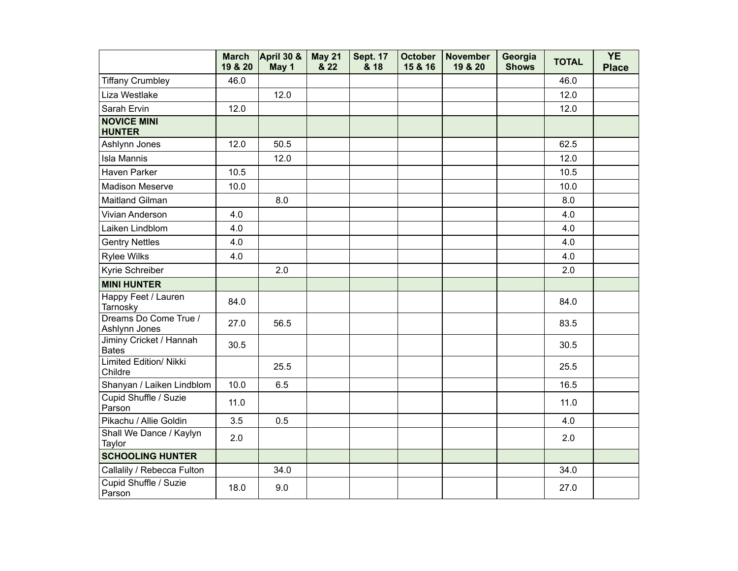|                                         | <b>March</b><br>19 & 20 | April 30 &<br>May 1 | <b>May 21</b><br>& 22 | <b>Sept. 17</b><br>& 18 | <b>October</b><br>15 & 16 | <b>November</b><br>19 & 20 | Georgia<br><b>Shows</b> | <b>TOTAL</b> | <b>YE</b><br><b>Place</b> |
|-----------------------------------------|-------------------------|---------------------|-----------------------|-------------------------|---------------------------|----------------------------|-------------------------|--------------|---------------------------|
| <b>Tiffany Crumbley</b>                 | 46.0                    |                     |                       |                         |                           |                            |                         | 46.0         |                           |
| Liza Westlake                           |                         | 12.0                |                       |                         |                           |                            |                         | 12.0         |                           |
| Sarah Ervin                             | 12.0                    |                     |                       |                         |                           |                            |                         | 12.0         |                           |
| <b>NOVICE MINI</b><br><b>HUNTER</b>     |                         |                     |                       |                         |                           |                            |                         |              |                           |
| Ashlynn Jones                           | 12.0                    | 50.5                |                       |                         |                           |                            |                         | 62.5         |                           |
| <b>Isla Mannis</b>                      |                         | 12.0                |                       |                         |                           |                            |                         | 12.0         |                           |
| Haven Parker                            | 10.5                    |                     |                       |                         |                           |                            |                         | 10.5         |                           |
| <b>Madison Meserve</b>                  | 10.0                    |                     |                       |                         |                           |                            |                         | 10.0         |                           |
| Maitland Gilman                         |                         | 8.0                 |                       |                         |                           |                            |                         | 8.0          |                           |
| Vivian Anderson                         | 4.0                     |                     |                       |                         |                           |                            |                         | 4.0          |                           |
| Laiken Lindblom                         | 4.0                     |                     |                       |                         |                           |                            |                         | 4.0          |                           |
| <b>Gentry Nettles</b>                   | 4.0                     |                     |                       |                         |                           |                            |                         | 4.0          |                           |
| <b>Rylee Wilks</b>                      | 4.0                     |                     |                       |                         |                           |                            |                         | 4.0          |                           |
| Kyrie Schreiber                         |                         | 2.0                 |                       |                         |                           |                            |                         | 2.0          |                           |
| <b>MINI HUNTER</b>                      |                         |                     |                       |                         |                           |                            |                         |              |                           |
| Happy Feet / Lauren<br>Tarnosky         | 84.0                    |                     |                       |                         |                           |                            |                         | 84.0         |                           |
| Dreams Do Come True /<br>Ashlynn Jones  | 27.0                    | 56.5                |                       |                         |                           |                            |                         | 83.5         |                           |
| Jiminy Cricket / Hannah<br><b>Bates</b> | 30.5                    |                     |                       |                         |                           |                            |                         | 30.5         |                           |
| Limited Edition/ Nikki<br>Childre       |                         | 25.5                |                       |                         |                           |                            |                         | 25.5         |                           |
| Shanyan / Laiken Lindblom               | 10.0                    | 6.5                 |                       |                         |                           |                            |                         | 16.5         |                           |
| Cupid Shuffle / Suzie<br>Parson         | 11.0                    |                     |                       |                         |                           |                            |                         | 11.0         |                           |
| Pikachu / Allie Goldin                  | 3.5                     | 0.5                 |                       |                         |                           |                            |                         | 4.0          |                           |
| Shall We Dance / Kaylyn<br>Taylor       | 2.0                     |                     |                       |                         |                           |                            |                         | 2.0          |                           |
| <b>SCHOOLING HUNTER</b>                 |                         |                     |                       |                         |                           |                            |                         |              |                           |
| Callalily / Rebecca Fulton              |                         | 34.0                |                       |                         |                           |                            |                         | 34.0         |                           |
| Cupid Shuffle / Suzie<br>Parson         | 18.0                    | 9.0                 |                       |                         |                           |                            |                         | 27.0         |                           |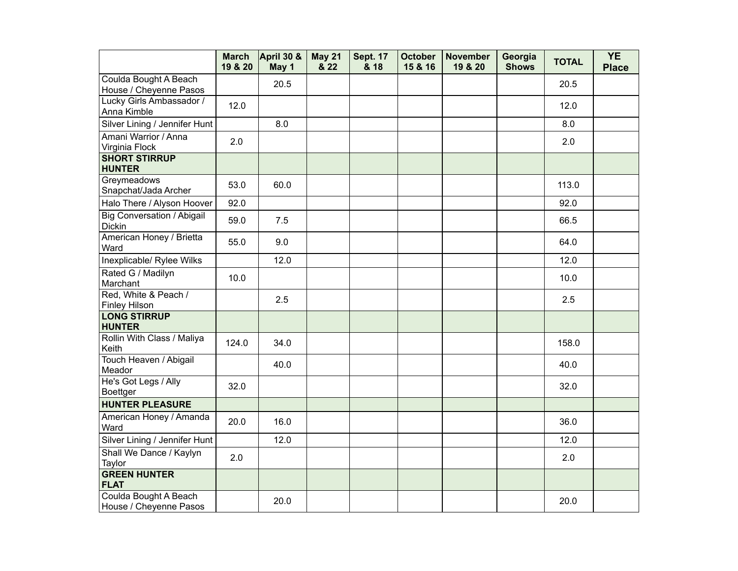|                                                    | <b>March</b><br>19 & 20 | April 30 &<br>May 1 | <b>May 21</b><br>& 22 | <b>Sept. 17</b><br>& 18 | <b>October</b><br>15 & 16 | <b>November</b><br>19 & 20 | Georgia<br><b>Shows</b> | <b>TOTAL</b> | <b>YE</b><br><b>Place</b> |
|----------------------------------------------------|-------------------------|---------------------|-----------------------|-------------------------|---------------------------|----------------------------|-------------------------|--------------|---------------------------|
| Coulda Bought A Beach<br>House / Cheyenne Pasos    |                         | 20.5                |                       |                         |                           |                            |                         | 20.5         |                           |
| Lucky Girls Ambassador /<br>Anna Kimble            | 12.0                    |                     |                       |                         |                           |                            |                         | 12.0         |                           |
| Silver Lining / Jennifer Hunt                      |                         | 8.0                 |                       |                         |                           |                            |                         | 8.0          |                           |
| Amani Warrior / Anna<br>Virginia Flock             | 2.0                     |                     |                       |                         |                           |                            |                         | 2.0          |                           |
| <b>SHORT STIRRUP</b><br><b>HUNTER</b>              |                         |                     |                       |                         |                           |                            |                         |              |                           |
| Greymeadows<br>Snapchat/Jada Archer                | 53.0                    | 60.0                |                       |                         |                           |                            |                         | 113.0        |                           |
| Halo There / Alyson Hoover                         | 92.0                    |                     |                       |                         |                           |                            |                         | 92.0         |                           |
| <b>Big Conversation / Abigail</b><br><b>Dickin</b> | 59.0                    | 7.5                 |                       |                         |                           |                            |                         | 66.5         |                           |
| American Honey / Brietta<br>Ward                   | 55.0                    | 9.0                 |                       |                         |                           |                            |                         | 64.0         |                           |
| Inexplicable/ Rylee Wilks                          |                         | 12.0                |                       |                         |                           |                            |                         | 12.0         |                           |
| Rated G / Madilyn<br>Marchant                      | 10.0                    |                     |                       |                         |                           |                            |                         | 10.0         |                           |
| Red, White & Peach /<br><b>Finley Hilson</b>       |                         | 2.5                 |                       |                         |                           |                            |                         | 2.5          |                           |
| <b>LONG STIRRUP</b><br><b>HUNTER</b>               |                         |                     |                       |                         |                           |                            |                         |              |                           |
| Rollin With Class / Maliya<br>Keith                | 124.0                   | 34.0                |                       |                         |                           |                            |                         | 158.0        |                           |
| Touch Heaven / Abigail<br>Meador                   |                         | 40.0                |                       |                         |                           |                            |                         | 40.0         |                           |
| He's Got Legs / Ally<br><b>Boettger</b>            | 32.0                    |                     |                       |                         |                           |                            |                         | 32.0         |                           |
| <b>HUNTER PLEASURE</b>                             |                         |                     |                       |                         |                           |                            |                         |              |                           |
| American Honey / Amanda<br>Ward                    | 20.0                    | 16.0                |                       |                         |                           |                            |                         | 36.0         |                           |
| Silver Lining / Jennifer Hunt                      |                         | 12.0                |                       |                         |                           |                            |                         | 12.0         |                           |
| Shall We Dance / Kaylyn<br>Taylor                  | 2.0                     |                     |                       |                         |                           |                            |                         | 2.0          |                           |
| <b>GREEN HUNTER</b><br><b>FLAT</b>                 |                         |                     |                       |                         |                           |                            |                         |              |                           |
| Coulda Bought A Beach<br>House / Cheyenne Pasos    |                         | 20.0                |                       |                         |                           |                            |                         | 20.0         |                           |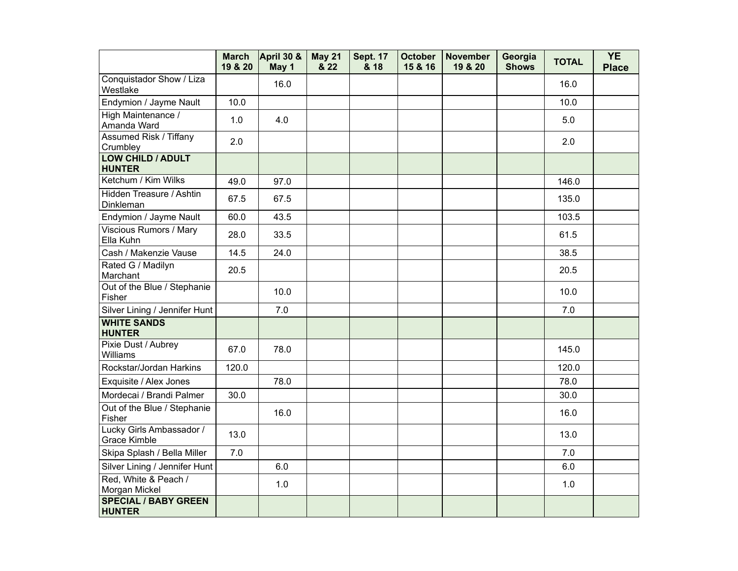|                                              | <b>March</b><br>19 & 20 | April 30 &<br>May 1 | <b>May 21</b><br>& 22 | <b>Sept. 17</b><br>& 18 | <b>October</b><br>15 & 16 | <b>November</b><br>19 & 20 | Georgia<br><b>Shows</b> | <b>TOTAL</b> | <b>YE</b><br><b>Place</b> |
|----------------------------------------------|-------------------------|---------------------|-----------------------|-------------------------|---------------------------|----------------------------|-------------------------|--------------|---------------------------|
| Conquistador Show / Liza<br>Westlake         |                         | 16.0                |                       |                         |                           |                            |                         | 16.0         |                           |
| Endymion / Jayme Nault                       | 10.0                    |                     |                       |                         |                           |                            |                         | 10.0         |                           |
| High Maintenance /<br>Amanda Ward            | 1.0                     | 4.0                 |                       |                         |                           |                            |                         | 5.0          |                           |
| <b>Assumed Risk / Tiffany</b><br>Crumbley    | 2.0                     |                     |                       |                         |                           |                            |                         | 2.0          |                           |
| <b>LOW CHILD / ADULT</b><br><b>HUNTER</b>    |                         |                     |                       |                         |                           |                            |                         |              |                           |
| Ketchum / Kim Wilks                          | 49.0                    | 97.0                |                       |                         |                           |                            |                         | 146.0        |                           |
| Hidden Treasure / Ashtin<br>Dinkleman        | 67.5                    | 67.5                |                       |                         |                           |                            |                         | 135.0        |                           |
| Endymion / Jayme Nault                       | 60.0                    | 43.5                |                       |                         |                           |                            |                         | 103.5        |                           |
| <b>Viscious Rumors / Mary</b><br>Ella Kuhn   | 28.0                    | 33.5                |                       |                         |                           |                            |                         | 61.5         |                           |
| Cash / Makenzie Vause                        | 14.5                    | 24.0                |                       |                         |                           |                            |                         | 38.5         |                           |
| Rated G / Madilyn<br>Marchant                | 20.5                    |                     |                       |                         |                           |                            |                         | 20.5         |                           |
| Out of the Blue / Stephanie<br>Fisher        |                         | 10.0                |                       |                         |                           |                            |                         | 10.0         |                           |
| Silver Lining / Jennifer Hunt                |                         | 7.0                 |                       |                         |                           |                            |                         | 7.0          |                           |
| <b>WHITE SANDS</b><br><b>HUNTER</b>          |                         |                     |                       |                         |                           |                            |                         |              |                           |
| Pixie Dust / Aubrey<br>Williams              | 67.0                    | 78.0                |                       |                         |                           |                            |                         | 145.0        |                           |
| Rockstar/Jordan Harkins                      | 120.0                   |                     |                       |                         |                           |                            |                         | 120.0        |                           |
| Exquisite / Alex Jones                       |                         | 78.0                |                       |                         |                           |                            |                         | 78.0         |                           |
| Mordecai / Brandi Palmer                     | 30.0                    |                     |                       |                         |                           |                            |                         | 30.0         |                           |
| Out of the Blue / Stephanie<br>Fisher        |                         | 16.0                |                       |                         |                           |                            |                         | 16.0         |                           |
| Lucky Girls Ambassador /<br>Grace Kimble     | 13.0                    |                     |                       |                         |                           |                            |                         | 13.0         |                           |
| Skipa Splash / Bella Miller                  | 7.0                     |                     |                       |                         |                           |                            |                         | 7.0          |                           |
| Silver Lining / Jennifer Hunt                |                         | 6.0                 |                       |                         |                           |                            |                         | 6.0          |                           |
| Red, White & Peach /<br>Morgan Mickel        |                         | 1.0                 |                       |                         |                           |                            |                         | 1.0          |                           |
| <b>SPECIAL / BABY GREEN</b><br><b>HUNTER</b> |                         |                     |                       |                         |                           |                            |                         |              |                           |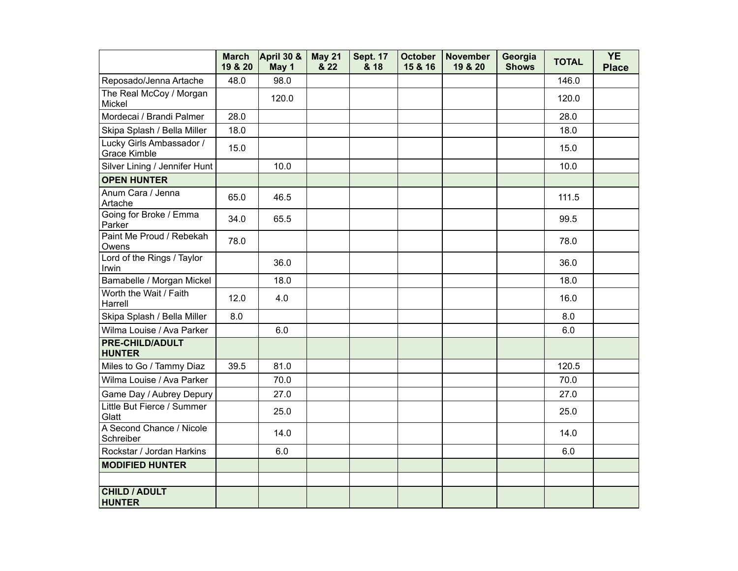|                                                 | <b>March</b><br>19 & 20 | April 30 &<br>May 1 | <b>May 21</b><br>& 22 | <b>Sept. 17</b><br>& 18 | <b>October</b><br>15 & 16 | <b>November</b><br>19 & 20 | Georgia<br><b>Shows</b> | <b>TOTAL</b> | <b>YE</b><br><b>Place</b> |
|-------------------------------------------------|-------------------------|---------------------|-----------------------|-------------------------|---------------------------|----------------------------|-------------------------|--------------|---------------------------|
| Reposado/Jenna Artache                          | 48.0                    | 98.0                |                       |                         |                           |                            |                         | 146.0        |                           |
| The Real McCoy / Morgan<br>Mickel               |                         | 120.0               |                       |                         |                           |                            |                         | 120.0        |                           |
| Mordecai / Brandi Palmer                        | 28.0                    |                     |                       |                         |                           |                            |                         | 28.0         |                           |
| Skipa Splash / Bella Miller                     | 18.0                    |                     |                       |                         |                           |                            |                         | 18.0         |                           |
| Lucky Girls Ambassador /<br><b>Grace Kimble</b> | 15.0                    |                     |                       |                         |                           |                            |                         | 15.0         |                           |
| Silver Lining / Jennifer Hunt                   |                         | 10.0                |                       |                         |                           |                            |                         | 10.0         |                           |
| <b>OPEN HUNTER</b>                              |                         |                     |                       |                         |                           |                            |                         |              |                           |
| Anum Cara / Jenna<br>Artache                    | 65.0                    | 46.5                |                       |                         |                           |                            |                         | 111.5        |                           |
| Going for Broke / Emma<br>Parker                | 34.0                    | 65.5                |                       |                         |                           |                            |                         | 99.5         |                           |
| Paint Me Proud / Rebekah<br>Owens               | 78.0                    |                     |                       |                         |                           |                            |                         | 78.0         |                           |
| Lord of the Rings / Taylor<br>Irwin             |                         | 36.0                |                       |                         |                           |                            |                         | 36.0         |                           |
| Bamabelle / Morgan Mickel                       |                         | 18.0                |                       |                         |                           |                            |                         | 18.0         |                           |
| Worth the Wait / Faith<br>Harrell               | 12.0                    | 4.0                 |                       |                         |                           |                            |                         | 16.0         |                           |
| Skipa Splash / Bella Miller                     | 8.0                     |                     |                       |                         |                           |                            |                         | 8.0          |                           |
| Wilma Louise / Ava Parker                       |                         | 6.0                 |                       |                         |                           |                            |                         | 6.0          |                           |
| <b>PRE-CHILD/ADULT</b><br><b>HUNTER</b>         |                         |                     |                       |                         |                           |                            |                         |              |                           |
| Miles to Go / Tammy Diaz                        | 39.5                    | 81.0                |                       |                         |                           |                            |                         | 120.5        |                           |
| Wilma Louise / Ava Parker                       |                         | 70.0                |                       |                         |                           |                            |                         | 70.0         |                           |
| Game Day / Aubrey Depury                        |                         | 27.0                |                       |                         |                           |                            |                         | 27.0         |                           |
| Little But Fierce / Summer<br>Glatt             |                         | 25.0                |                       |                         |                           |                            |                         | 25.0         |                           |
| A Second Chance / Nicole<br>Schreiber           |                         | 14.0                |                       |                         |                           |                            |                         | 14.0         |                           |
| Rockstar / Jordan Harkins                       |                         | 6.0                 |                       |                         |                           |                            |                         | 6.0          |                           |
| <b>MODIFIED HUNTER</b>                          |                         |                     |                       |                         |                           |                            |                         |              |                           |
|                                                 |                         |                     |                       |                         |                           |                            |                         |              |                           |
| <b>CHILD / ADULT</b><br><b>HUNTER</b>           |                         |                     |                       |                         |                           |                            |                         |              |                           |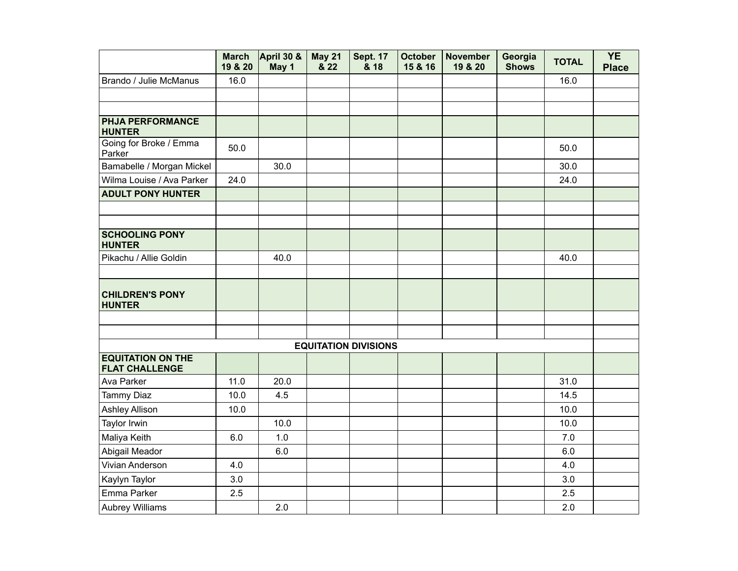|                                                   | <b>March</b><br>19 & 20 | <b>April 30 &amp;</b><br>May 1 | May 21<br>& 22 | <b>Sept. 17</b><br>& 18     | <b>October</b><br>15 & 16 | <b>November</b><br>19 & 20 | Georgia<br><b>Shows</b> | <b>TOTAL</b> | <b>YE</b><br><b>Place</b> |
|---------------------------------------------------|-------------------------|--------------------------------|----------------|-----------------------------|---------------------------|----------------------------|-------------------------|--------------|---------------------------|
| Brando / Julie McManus                            | 16.0                    |                                |                |                             |                           |                            |                         | 16.0         |                           |
|                                                   |                         |                                |                |                             |                           |                            |                         |              |                           |
|                                                   |                         |                                |                |                             |                           |                            |                         |              |                           |
| <b>PHJA PERFORMANCE</b><br><b>HUNTER</b>          |                         |                                |                |                             |                           |                            |                         |              |                           |
| Going for Broke / Emma<br>Parker                  | 50.0                    |                                |                |                             |                           |                            |                         | 50.0         |                           |
| Bamabelle / Morgan Mickel                         |                         | 30.0                           |                |                             |                           |                            |                         | 30.0         |                           |
| Wilma Louise / Ava Parker                         | 24.0                    |                                |                |                             |                           |                            |                         | 24.0         |                           |
| <b>ADULT PONY HUNTER</b>                          |                         |                                |                |                             |                           |                            |                         |              |                           |
|                                                   |                         |                                |                |                             |                           |                            |                         |              |                           |
|                                                   |                         |                                |                |                             |                           |                            |                         |              |                           |
| <b>SCHOOLING PONY</b><br><b>HUNTER</b>            |                         |                                |                |                             |                           |                            |                         |              |                           |
| Pikachu / Allie Goldin                            |                         | 40.0                           |                |                             |                           |                            |                         | 40.0         |                           |
|                                                   |                         |                                |                |                             |                           |                            |                         |              |                           |
| <b>CHILDREN'S PONY</b><br><b>HUNTER</b>           |                         |                                |                |                             |                           |                            |                         |              |                           |
|                                                   |                         |                                |                |                             |                           |                            |                         |              |                           |
|                                                   |                         |                                |                |                             |                           |                            |                         |              |                           |
|                                                   |                         |                                |                | <b>EQUITATION DIVISIONS</b> |                           |                            |                         |              |                           |
| <b>EQUITATION ON THE</b><br><b>FLAT CHALLENGE</b> |                         |                                |                |                             |                           |                            |                         |              |                           |
| Ava Parker                                        | 11.0                    | 20.0                           |                |                             |                           |                            |                         | 31.0         |                           |
| Tammy Diaz                                        | 10.0                    | 4.5                            |                |                             |                           |                            |                         | 14.5         |                           |
| Ashley Allison                                    | 10.0                    |                                |                |                             |                           |                            |                         | 10.0         |                           |
| Taylor Irwin                                      |                         | 10.0                           |                |                             |                           |                            |                         | 10.0         |                           |
| Maliya Keith                                      | 6.0                     | 1.0                            |                |                             |                           |                            |                         | 7.0          |                           |
| Abigail Meador                                    |                         | 6.0                            |                |                             |                           |                            |                         | 6.0          |                           |
| Vivian Anderson                                   | 4.0                     |                                |                |                             |                           |                            |                         | 4.0          |                           |
| Kaylyn Taylor                                     | 3.0                     |                                |                |                             |                           |                            |                         | 3.0          |                           |
| Emma Parker                                       | 2.5                     |                                |                |                             |                           |                            |                         | 2.5          |                           |
| <b>Aubrey Williams</b>                            |                         | 2.0                            |                |                             |                           |                            |                         | 2.0          |                           |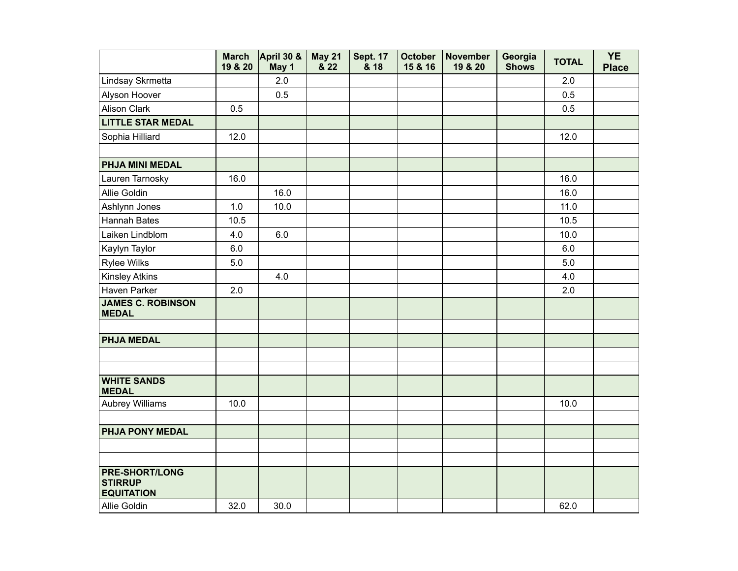|                                                              | <b>March</b><br>19 & 20 | April 30 &<br>May 1 | <b>May 21</b><br>& 22 | <b>Sept. 17</b><br>& 18 | <b>October</b><br>15 & 16 | <b>November</b><br>19 & 20 | Georgia<br><b>Shows</b> | <b>TOTAL</b> | <b>YE</b><br><b>Place</b> |
|--------------------------------------------------------------|-------------------------|---------------------|-----------------------|-------------------------|---------------------------|----------------------------|-------------------------|--------------|---------------------------|
| Lindsay Skrmetta                                             |                         | 2.0                 |                       |                         |                           |                            |                         | 2.0          |                           |
| Alyson Hoover                                                |                         | 0.5                 |                       |                         |                           |                            |                         | 0.5          |                           |
| <b>Alison Clark</b>                                          | 0.5                     |                     |                       |                         |                           |                            |                         | 0.5          |                           |
| <b>LITTLE STAR MEDAL</b>                                     |                         |                     |                       |                         |                           |                            |                         |              |                           |
| Sophia Hilliard                                              | 12.0                    |                     |                       |                         |                           |                            |                         | 12.0         |                           |
|                                                              |                         |                     |                       |                         |                           |                            |                         |              |                           |
| PHJA MINI MEDAL                                              |                         |                     |                       |                         |                           |                            |                         |              |                           |
| Lauren Tarnosky                                              | 16.0                    |                     |                       |                         |                           |                            |                         | 16.0         |                           |
| Allie Goldin                                                 |                         | 16.0                |                       |                         |                           |                            |                         | 16.0         |                           |
| Ashlynn Jones                                                | 1.0                     | 10.0                |                       |                         |                           |                            |                         | 11.0         |                           |
| <b>Hannah Bates</b>                                          | 10.5                    |                     |                       |                         |                           |                            |                         | 10.5         |                           |
| Laiken Lindblom                                              | 4.0                     | 6.0                 |                       |                         |                           |                            |                         | 10.0         |                           |
| Kaylyn Taylor                                                | 6.0                     |                     |                       |                         |                           |                            |                         | 6.0          |                           |
| <b>Rylee Wilks</b>                                           | 5.0                     |                     |                       |                         |                           |                            |                         | 5.0          |                           |
| <b>Kinsley Atkins</b>                                        |                         | 4.0                 |                       |                         |                           |                            |                         | 4.0          |                           |
| Haven Parker                                                 | 2.0                     |                     |                       |                         |                           |                            |                         | 2.0          |                           |
| <b>JAMES C. ROBINSON</b><br><b>MEDAL</b>                     |                         |                     |                       |                         |                           |                            |                         |              |                           |
|                                                              |                         |                     |                       |                         |                           |                            |                         |              |                           |
| <b>PHJA MEDAL</b>                                            |                         |                     |                       |                         |                           |                            |                         |              |                           |
|                                                              |                         |                     |                       |                         |                           |                            |                         |              |                           |
|                                                              |                         |                     |                       |                         |                           |                            |                         |              |                           |
| <b>WHITE SANDS</b><br><b>MEDAL</b>                           |                         |                     |                       |                         |                           |                            |                         |              |                           |
| <b>Aubrey Williams</b>                                       | 10.0                    |                     |                       |                         |                           |                            |                         | 10.0         |                           |
|                                                              |                         |                     |                       |                         |                           |                            |                         |              |                           |
| PHJA PONY MEDAL                                              |                         |                     |                       |                         |                           |                            |                         |              |                           |
|                                                              |                         |                     |                       |                         |                           |                            |                         |              |                           |
|                                                              |                         |                     |                       |                         |                           |                            |                         |              |                           |
| <b>PRE-SHORT/LONG</b><br><b>STIRRUP</b><br><b>EQUITATION</b> |                         |                     |                       |                         |                           |                            |                         |              |                           |
| Allie Goldin                                                 | 32.0                    | 30.0                |                       |                         |                           |                            |                         | 62.0         |                           |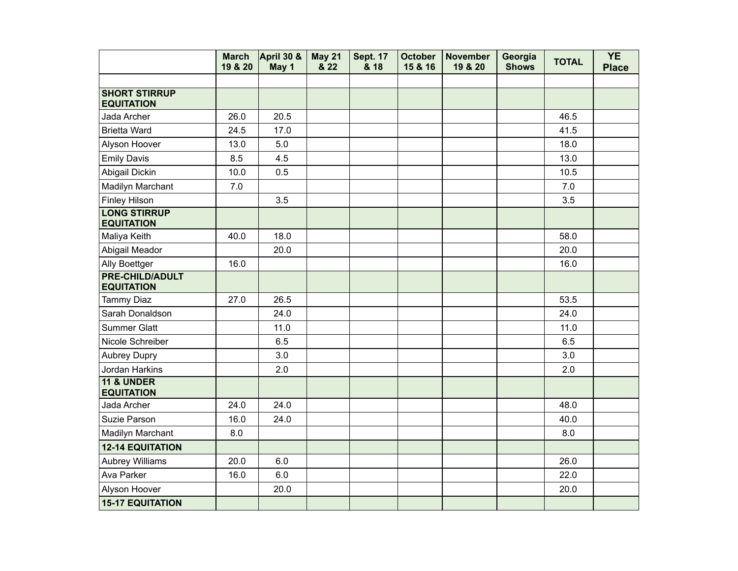|                                             | <b>March</b><br>19 & 20 | April 30 &<br>May 1 | <b>May 21</b><br>& 22 | <b>Sept. 17</b><br>& 18 | <b>October</b><br>15 & 16 | <b>November</b><br>19 & 20 | Georgia<br><b>Shows</b> | <b>TOTAL</b> | <b>YE</b><br><b>Place</b> |
|---------------------------------------------|-------------------------|---------------------|-----------------------|-------------------------|---------------------------|----------------------------|-------------------------|--------------|---------------------------|
|                                             |                         |                     |                       |                         |                           |                            |                         |              |                           |
| <b>SHORT STIRRUP</b><br><b>EQUITATION</b>   |                         |                     |                       |                         |                           |                            |                         |              |                           |
| Jada Archer                                 | 26.0                    | 20.5                |                       |                         |                           |                            |                         | 46.5         |                           |
| <b>Brietta Ward</b>                         | 24.5                    | 17.0                |                       |                         |                           |                            |                         | 41.5         |                           |
| Alyson Hoover                               | 13.0                    | 5.0                 |                       |                         |                           |                            |                         | 18.0         |                           |
| <b>Emily Davis</b>                          | 8.5                     | 4.5                 |                       |                         |                           |                            |                         | 13.0         |                           |
| Abigail Dickin                              | 10.0                    | 0.5                 |                       |                         |                           |                            |                         | 10.5         |                           |
| Madilyn Marchant                            | 7.0                     |                     |                       |                         |                           |                            |                         | 7.0          |                           |
| <b>Finley Hilson</b>                        |                         | 3.5                 |                       |                         |                           |                            |                         | 3.5          |                           |
| <b>LONG STIRRUP</b><br><b>EQUITATION</b>    |                         |                     |                       |                         |                           |                            |                         |              |                           |
| Maliya Keith                                | 40.0                    | 18.0                |                       |                         |                           |                            |                         | 58.0         |                           |
| Abigail Meador                              |                         | 20.0                |                       |                         |                           |                            |                         | 20.0         |                           |
| Ally Boettger                               | 16.0                    |                     |                       |                         |                           |                            |                         | 16.0         |                           |
| <b>PRE-CHILD/ADULT</b><br><b>EQUITATION</b> |                         |                     |                       |                         |                           |                            |                         |              |                           |
| <b>Tammy Diaz</b>                           | 27.0                    | 26.5                |                       |                         |                           |                            |                         | 53.5         |                           |
| Sarah Donaldson                             |                         | 24.0                |                       |                         |                           |                            |                         | 24.0         |                           |
| <b>Summer Glatt</b>                         |                         | 11.0                |                       |                         |                           |                            |                         | 11.0         |                           |
| Nicole Schreiber                            |                         | 6.5                 |                       |                         |                           |                            |                         | 6.5          |                           |
| <b>Aubrey Dupry</b>                         |                         | 3.0                 |                       |                         |                           |                            |                         | 3.0          |                           |
| Jordan Harkins                              |                         | 2.0                 |                       |                         |                           |                            |                         | 2.0          |                           |
| <b>11 &amp; UNDER</b><br><b>EQUITATION</b>  |                         |                     |                       |                         |                           |                            |                         |              |                           |
| Jada Archer                                 | 24.0                    | 24.0                |                       |                         |                           |                            |                         | 48.0         |                           |
| Suzie Parson                                | 16.0                    | 24.0                |                       |                         |                           |                            |                         | 40.0         |                           |
| Madilyn Marchant                            | 8.0                     |                     |                       |                         |                           |                            |                         | 8.0          |                           |
| <b>12-14 EQUITATION</b>                     |                         |                     |                       |                         |                           |                            |                         |              |                           |
| <b>Aubrey Williams</b>                      | 20.0                    | 6.0                 |                       |                         |                           |                            |                         | 26.0         |                           |
| Ava Parker                                  | 16.0                    | 6.0                 |                       |                         |                           |                            |                         | 22.0         |                           |
| Alyson Hoover                               |                         | 20.0                |                       |                         |                           |                            |                         | 20.0         |                           |
| <b>15-17 EQUITATION</b>                     |                         |                     |                       |                         |                           |                            |                         |              |                           |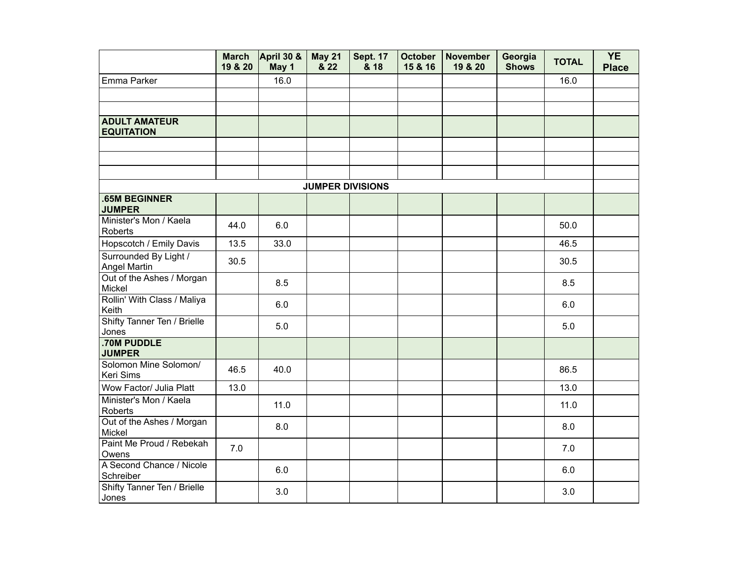|                                           | <b>March</b><br>19 & 20 | April 30 &<br>May 1 | <b>May 21</b><br>& 22 | <b>Sept. 17</b><br>& 18 | <b>October</b><br>15 & 16 | <b>November</b><br>19 & 20 | Georgia<br><b>Shows</b> | <b>TOTAL</b> | <b>YE</b><br><b>Place</b> |
|-------------------------------------------|-------------------------|---------------------|-----------------------|-------------------------|---------------------------|----------------------------|-------------------------|--------------|---------------------------|
| Emma Parker                               |                         | 16.0                |                       |                         |                           |                            |                         | 16.0         |                           |
|                                           |                         |                     |                       |                         |                           |                            |                         |              |                           |
|                                           |                         |                     |                       |                         |                           |                            |                         |              |                           |
| <b>ADULT AMATEUR</b><br><b>EQUITATION</b> |                         |                     |                       |                         |                           |                            |                         |              |                           |
|                                           |                         |                     |                       |                         |                           |                            |                         |              |                           |
|                                           |                         |                     |                       |                         |                           |                            |                         |              |                           |
|                                           |                         |                     |                       |                         |                           |                            |                         |              |                           |
|                                           |                         |                     |                       | <b>JUMPER DIVISIONS</b> |                           |                            |                         |              |                           |
| <b>.65M BEGINNER</b><br><b>JUMPER</b>     |                         |                     |                       |                         |                           |                            |                         |              |                           |
| Minister's Mon / Kaela<br>Roberts         | 44.0                    | 6.0                 |                       |                         |                           |                            |                         | 50.0         |                           |
| Hopscotch / Emily Davis                   | 13.5                    | 33.0                |                       |                         |                           |                            |                         | 46.5         |                           |
| Surrounded By Light /<br>Angel Martin     | 30.5                    |                     |                       |                         |                           |                            |                         | 30.5         |                           |
| Out of the Ashes / Morgan<br>Mickel       |                         | 8.5                 |                       |                         |                           |                            |                         | 8.5          |                           |
| Rollin' With Class / Maliya<br>Keith      |                         | 6.0                 |                       |                         |                           |                            |                         | 6.0          |                           |
| Shifty Tanner Ten / Brielle<br>Jones      |                         | 5.0                 |                       |                         |                           |                            |                         | 5.0          |                           |
| .70M PUDDLE<br><b>JUMPER</b>              |                         |                     |                       |                         |                           |                            |                         |              |                           |
| Solomon Mine Solomon/<br>Keri Sims        | 46.5                    | 40.0                |                       |                         |                           |                            |                         | 86.5         |                           |
| Wow Factor/ Julia Platt                   | 13.0                    |                     |                       |                         |                           |                            |                         | 13.0         |                           |
| Minister's Mon / Kaela<br>Roberts         |                         | 11.0                |                       |                         |                           |                            |                         | 11.0         |                           |
| Out of the Ashes / Morgan<br>Mickel       |                         | 8.0                 |                       |                         |                           |                            |                         | 8.0          |                           |
| Paint Me Proud / Rebekah<br>Owens         | 7.0                     |                     |                       |                         |                           |                            |                         | 7.0          |                           |
| A Second Chance / Nicole<br>Schreiber     |                         | 6.0                 |                       |                         |                           |                            |                         | 6.0          |                           |
| Shifty Tanner Ten / Brielle<br>Jones      |                         | 3.0                 |                       |                         |                           |                            |                         | 3.0          |                           |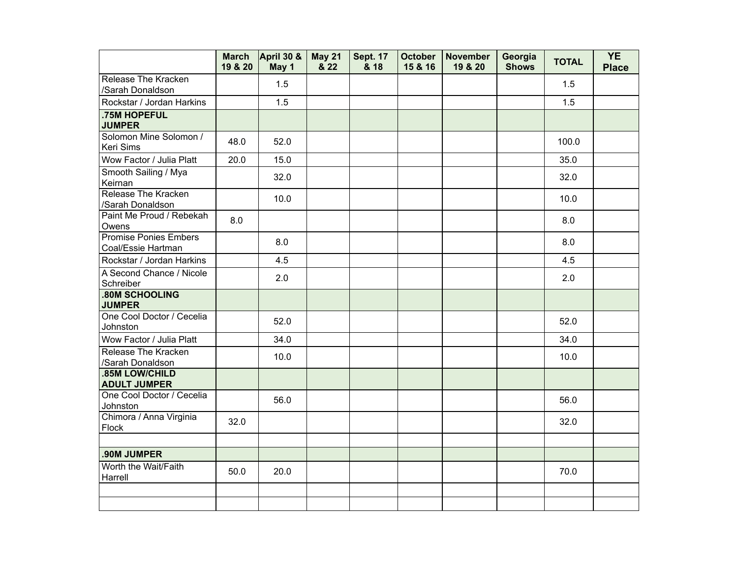|                                                    | <b>March</b><br>19 & 20 | April 30 &<br>May 1 | <b>May 21</b><br>& 22 | <b>Sept. 17</b><br>& 18 | <b>October</b><br>15 & 16 | November<br>19 & 20 | Georgia<br><b>Shows</b> | <b>TOTAL</b> | <b>YE</b><br><b>Place</b> |
|----------------------------------------------------|-------------------------|---------------------|-----------------------|-------------------------|---------------------------|---------------------|-------------------------|--------------|---------------------------|
| Release The Kracken<br>/Sarah Donaldson            |                         | 1.5                 |                       |                         |                           |                     |                         | 1.5          |                           |
| Rockstar / Jordan Harkins                          |                         | 1.5                 |                       |                         |                           |                     |                         | 1.5          |                           |
| .75M HOPEFUL<br><b>JUMPER</b>                      |                         |                     |                       |                         |                           |                     |                         |              |                           |
| Solomon Mine Solomon /<br>Keri Sims                | 48.0                    | 52.0                |                       |                         |                           |                     |                         | 100.0        |                           |
| Wow Factor / Julia Platt                           | 20.0                    | 15.0                |                       |                         |                           |                     |                         | 35.0         |                           |
| Smooth Sailing / Mya<br>Keirnan                    |                         | 32.0                |                       |                         |                           |                     |                         | 32.0         |                           |
| Release The Kracken<br>/Sarah Donaldson            |                         | 10.0                |                       |                         |                           |                     |                         | 10.0         |                           |
| Paint Me Proud / Rebekah<br>Owens                  | 8.0                     |                     |                       |                         |                           |                     |                         | 8.0          |                           |
| <b>Promise Ponies Embers</b><br>Coal/Essie Hartman |                         | 8.0                 |                       |                         |                           |                     |                         | 8.0          |                           |
| Rockstar / Jordan Harkins                          |                         | 4.5                 |                       |                         |                           |                     |                         | 4.5          |                           |
| A Second Chance / Nicole<br>Schreiber              |                         | 2.0                 |                       |                         |                           |                     |                         | 2.0          |                           |
| <b>.80M SCHOOLING</b><br><b>JUMPER</b>             |                         |                     |                       |                         |                           |                     |                         |              |                           |
| One Cool Doctor / Cecelia<br>Johnston              |                         | 52.0                |                       |                         |                           |                     |                         | 52.0         |                           |
| Wow Factor / Julia Platt                           |                         | 34.0                |                       |                         |                           |                     |                         | 34.0         |                           |
| Release The Kracken<br>/Sarah Donaldson            |                         | 10.0                |                       |                         |                           |                     |                         | 10.0         |                           |
| .85M LOW/CHILD<br><b>ADULT JUMPER</b>              |                         |                     |                       |                         |                           |                     |                         |              |                           |
| One Cool Doctor / Cecelia<br>Johnston              |                         | 56.0                |                       |                         |                           |                     |                         | 56.0         |                           |
| Chimora / Anna Virginia<br>Flock                   | 32.0                    |                     |                       |                         |                           |                     |                         | 32.0         |                           |
| .90M JUMPER                                        |                         |                     |                       |                         |                           |                     |                         |              |                           |
| Worth the Wait/Faith<br>Harrell                    | 50.0                    | 20.0                |                       |                         |                           |                     |                         | 70.0         |                           |
|                                                    |                         |                     |                       |                         |                           |                     |                         |              |                           |
|                                                    |                         |                     |                       |                         |                           |                     |                         |              |                           |